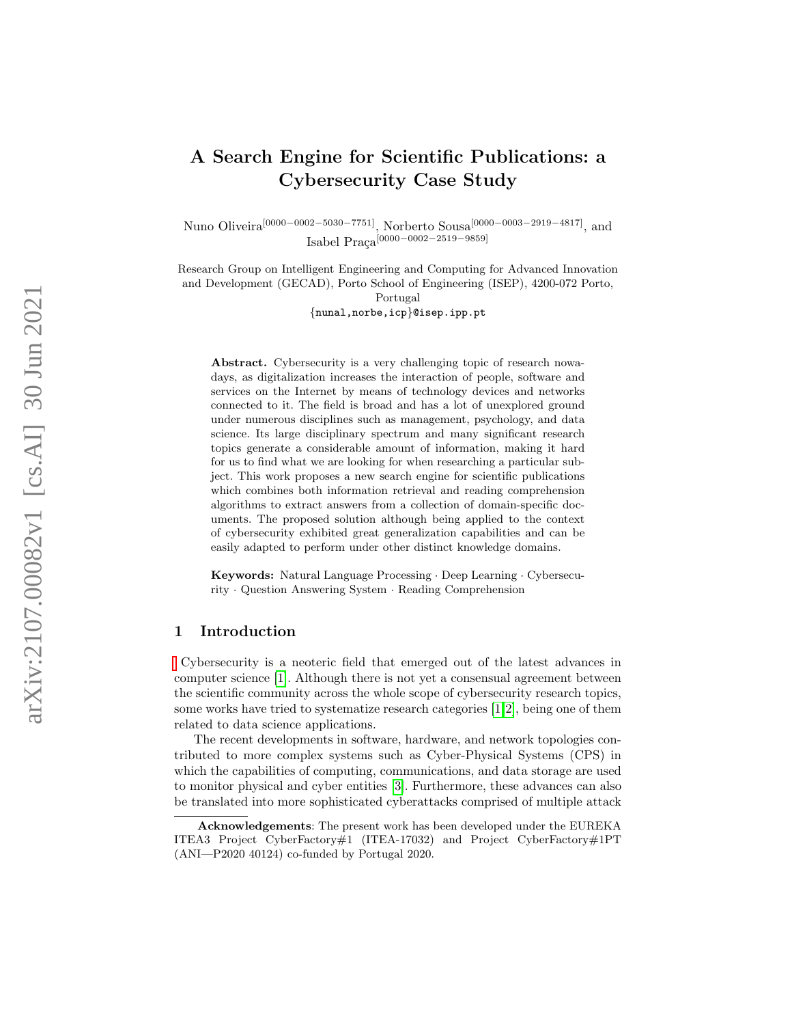# A Search Engine for Scientific Publications: a Cybersecurity Case Study

Nuno Oliveira<sup>[0000–0002–5030–7751]</sup>, Norberto Sousa<sup>[0000–0003–2919–4817]</sup>, and Isabel Praça<sup>[0000−0002−2519−9859]</sup>

Research Group on Intelligent Engineering and Computing for Advanced Innovation and Development (GECAD), Porto School of Engineering (ISEP), 4200-072 Porto, Portugal {nunal,norbe,icp }@isep.ipp.pt

Abstract. Cybersecurity is a very challenging topic of research nowadays, as digitalization increases the interaction of people, software and services on the Internet by means of technology devices and networks connected to it. The field is broad and has a lot of unexplored ground under numerous disciplines such as management, psychology, and data science. Its large disciplinary spectrum and many significant research topics generate a considerable amount of information, making it hard for us to find what we are looking for when researching a particular subject. This work proposes a new search engine for scientific publications which combines both information retrieval and reading comprehension algorithms to extract answers from a collection of domain-specific documents. The proposed solution although being applied to the context of cybersecurity exhibited great generalization capabilities and can be easily adapted to perform under other distinct knowledge domains.

Keywords: Natural Language Processing · Deep Learning · Cybersecurity · Question Answering System · Reading Comprehension

## 1 Introduction

Cybersecurity is a neoteric field that emerged out of the latest advances in computer science [\[1\]](#page-9-0). Although there is not yet a consensual agreement between the scientific community across the whole scope of cybersecurity research topics, some works have tried to systematize research categories [\[1,](#page-9-0)[2\]](#page-9-1), being one of them related to data science applications.

The recent developments in software, hardware, and network topologies contributed to more complex systems such as Cyber-Physical Systems (CPS) in which the capabilities of computing, communications, and data storage are used to monitor physical and cyber entities [\[3\]](#page-9-2). Furthermore, these advances can also be translated into more sophisticated cyberattacks comprised of multiple attack

Acknowledgements: The present work has been developed under the EUREKA ITEA3 Project CyberFactory#1 (ITEA-17032) and Project CyberFactory#1PT (ANI—P2020 40124) co-funded by Portugal 2020.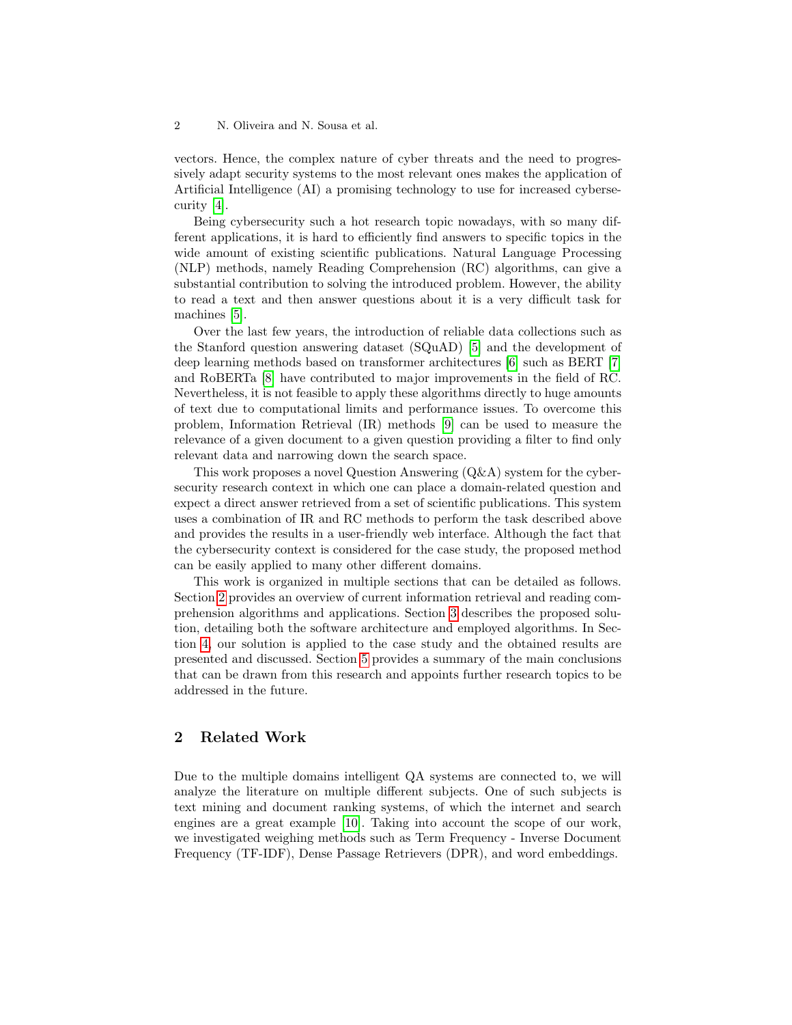vectors. Hence, the complex nature of cyber threats and the need to progressively adapt security systems to the most relevant ones makes the application of Artificial Intelligence (AI) a promising technology to use for increased cybersecurity [\[4\]](#page-9-3).

Being cybersecurity such a hot research topic nowadays, with so many different applications, it is hard to efficiently find answers to specific topics in the wide amount of existing scientific publications. Natural Language Processing (NLP) methods, namely Reading Comprehension (RC) algorithms, can give a substantial contribution to solving the introduced problem. However, the ability to read a text and then answer questions about it is a very difficult task for machines [\[5\]](#page-9-4).

Over the last few years, the introduction of reliable data collections such as the Stanford question answering dataset (SQuAD) [\[5\]](#page-9-4) and the development of deep learning methods based on transformer architectures [\[6\]](#page-9-5) such as BERT [\[7\]](#page-9-6) and RoBERTa [\[8\]](#page-10-0) have contributed to major improvements in the field of RC. Nevertheless, it is not feasible to apply these algorithms directly to huge amounts of text due to computational limits and performance issues. To overcome this problem, Information Retrieval (IR) methods [\[9\]](#page-10-1) can be used to measure the relevance of a given document to a given question providing a filter to find only relevant data and narrowing down the search space.

This work proposes a novel Question Answering (Q&A) system for the cybersecurity research context in which one can place a domain-related question and expect a direct answer retrieved from a set of scientific publications. This system uses a combination of IR and RC methods to perform the task described above and provides the results in a user-friendly web interface. Although the fact that the cybersecurity context is considered for the case study, the proposed method can be easily applied to many other different domains.

This work is organized in multiple sections that can be detailed as follows. Section [2](#page-1-0) provides an overview of current information retrieval and reading comprehension algorithms and applications. Section [3](#page-2-0) describes the proposed solution, detailing both the software architecture and employed algorithms. In Section [4,](#page-6-0) our solution is applied to the case study and the obtained results are presented and discussed. Section [5](#page-9-7) provides a summary of the main conclusions that can be drawn from this research and appoints further research topics to be addressed in the future.

# <span id="page-1-0"></span>2 Related Work

Due to the multiple domains intelligent QA systems are connected to, we will analyze the literature on multiple different subjects. One of such subjects is text mining and document ranking systems, of which the internet and search engines are a great example [\[10\]](#page-10-2). Taking into account the scope of our work, we investigated weighing methods such as Term Frequency - Inverse Document Frequency (TF-IDF), Dense Passage Retrievers (DPR), and word embeddings.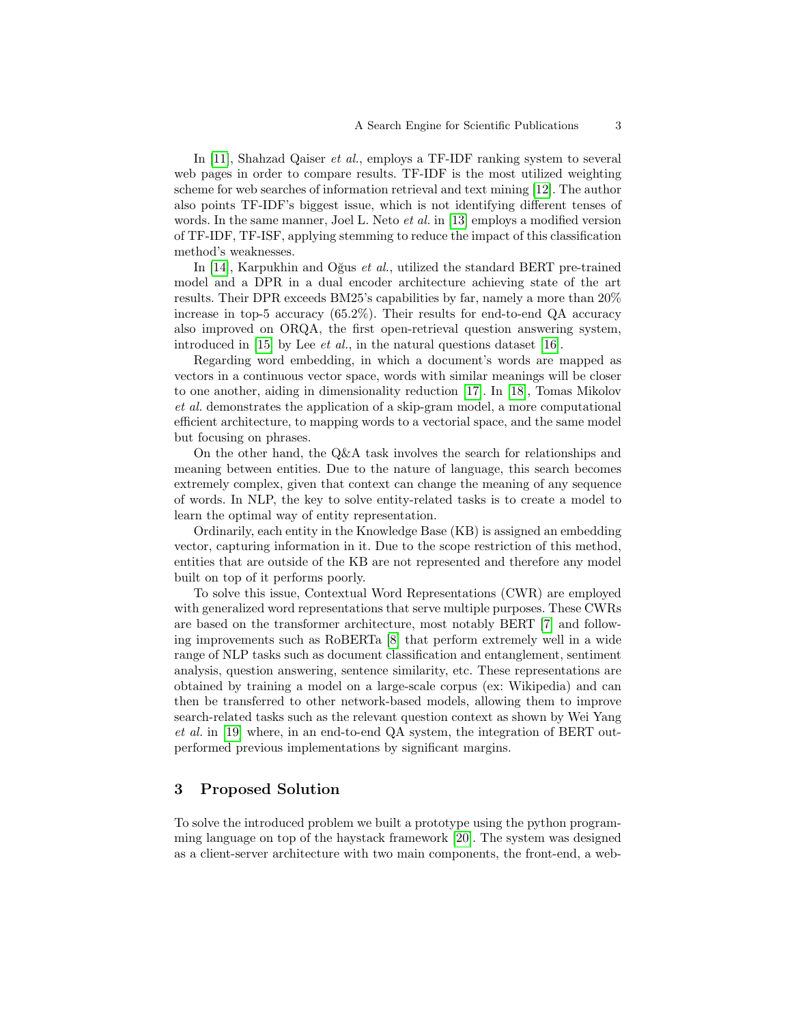In [\[11\]](#page-10-3), Shahzad Qaiser et al., employs a TF-IDF ranking system to several web pages in order to compare results. TF-IDF is the most utilized weighting scheme for web searches of information retrieval and text mining [\[12\]](#page-10-4). The author also points TF-IDF's biggest issue, which is not identifying different tenses of words. In the same manner, Joel L. Neto *et al.* in [\[13\]](#page-10-5) employs a modified version of TF-IDF, TF-ISF, applying stemming to reduce the impact of this classification method's weaknesses.

In [\[14\]](#page-10-6), Karpukhin and Oğus *et al.*, utilized the standard BERT pre-trained model and a DPR in a dual encoder architecture achieving state of the art results. Their DPR exceeds BM25's capabilities by far, namely a more than 20% increase in top-5 accuracy  $(65.2\%)$ . Their results for end-to-end QA accuracy also improved on ORQA, the first open-retrieval question answering system, introduced in [\[15\]](#page-10-7) by Lee *et al.*, in the natural questions dataset [\[16\]](#page-10-8).

Regarding word embedding, in which a document's words are mapped as vectors in a continuous vector space, words with similar meanings will be closer to one another, aiding in dimensionality reduction [\[17\]](#page-10-9). In [\[18\]](#page-10-10), Tomas Mikolov et al. demonstrates the application of a skip-gram model, a more computational efficient architecture, to mapping words to a vectorial space, and the same model but focusing on phrases.

On the other hand, the Q&A task involves the search for relationships and meaning between entities. Due to the nature of language, this search becomes extremely complex, given that context can change the meaning of any sequence of words. In NLP, the key to solve entity-related tasks is to create a model to learn the optimal way of entity representation.

Ordinarily, each entity in the Knowledge Base (KB) is assigned an embedding vector, capturing information in it. Due to the scope restriction of this method, entities that are outside of the KB are not represented and therefore any model built on top of it performs poorly.

To solve this issue, Contextual Word Representations (CWR) are employed with generalized word representations that serve multiple purposes. These CWRs are based on the transformer architecture, most notably BERT [\[7\]](#page-9-6) and following improvements such as RoBERTa [\[8\]](#page-10-0) that perform extremely well in a wide range of NLP tasks such as document classification and entanglement, sentiment analysis, question answering, sentence similarity, etc. These representations are obtained by training a model on a large-scale corpus (ex: Wikipedia) and can then be transferred to other network-based models, allowing them to improve search-related tasks such as the relevant question context as shown by Wei Yang et al. in [\[19\]](#page-10-11) where, in an end-to-end QA system, the integration of BERT outperformed previous implementations by significant margins.

# <span id="page-2-0"></span>3 Proposed Solution

To solve the introduced problem we built a prototype using the python programming language on top of the haystack framework [\[20\]](#page-10-12). The system was designed as a client-server architecture with two main components, the front-end, a web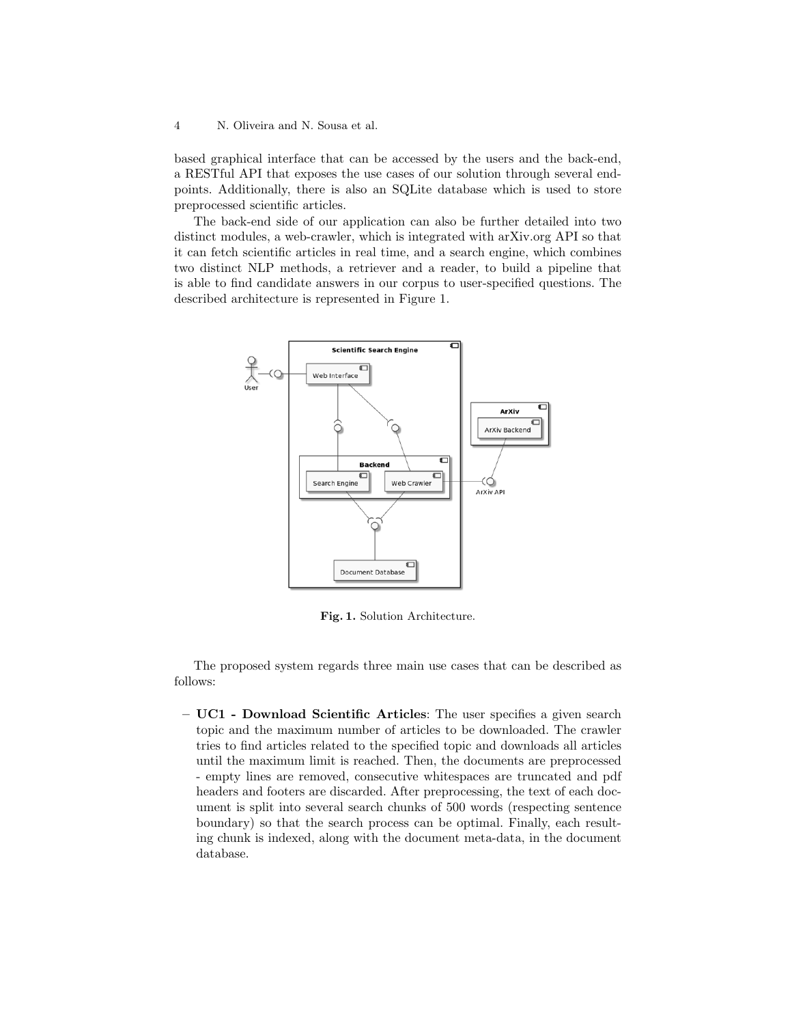based graphical interface that can be accessed by the users and the back-end, a RESTful API that exposes the use cases of our solution through several endpoints. Additionally, there is also an SQLite database which is used to store preprocessed scientific articles.

The back-end side of our application can also be further detailed into two distinct modules, a web-crawler, which is integrated with arXiv.org API so that it can fetch scientific articles in real time, and a search engine, which combines two distinct NLP methods, a retriever and a reader, to build a pipeline that is able to find candidate answers in our corpus to user-specified questions. The described architecture is represented in Figure 1.



Fig. 1. Solution Architecture.

The proposed system regards three main use cases that can be described as follows:

– UC1 - Download Scientific Articles: The user specifies a given search topic and the maximum number of articles to be downloaded. The crawler tries to find articles related to the specified topic and downloads all articles until the maximum limit is reached. Then, the documents are preprocessed - empty lines are removed, consecutive whitespaces are truncated and pdf headers and footers are discarded. After preprocessing, the text of each document is split into several search chunks of 500 words (respecting sentence boundary) so that the search process can be optimal. Finally, each resulting chunk is indexed, along with the document meta-data, in the document database.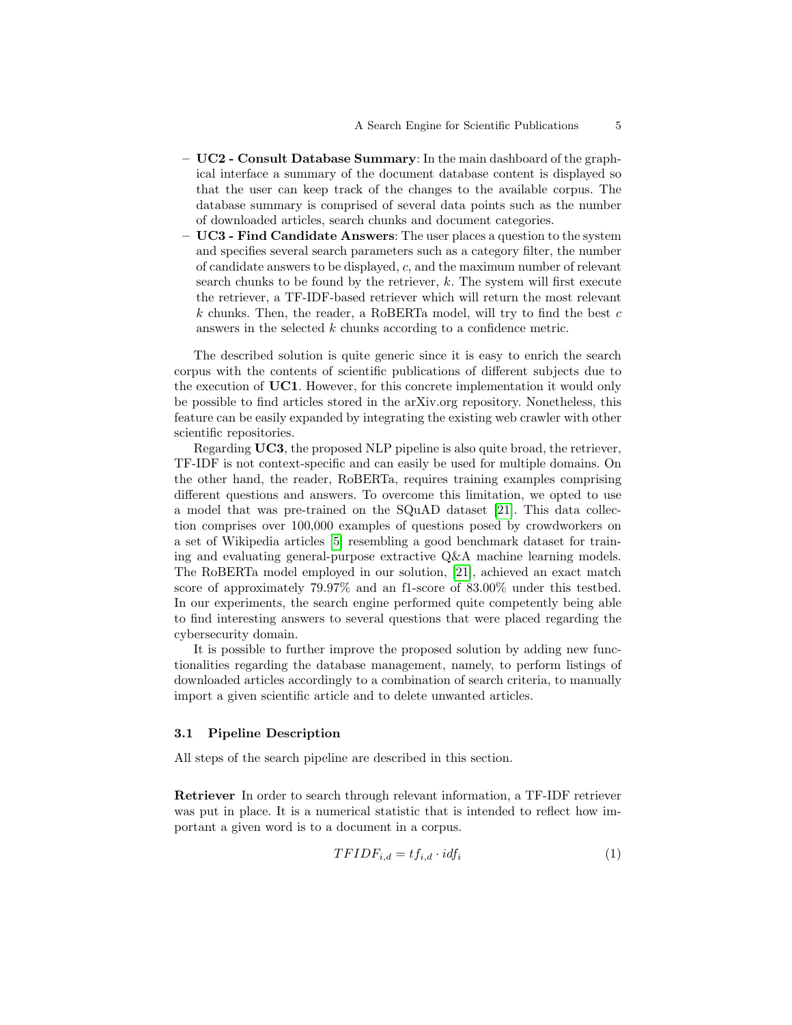- $-$  UC2 Consult Database Summary: In the main dashboard of the graphical interface a summary of the document database content is displayed so that the user can keep track of the changes to the available corpus. The database summary is comprised of several data points such as the number of downloaded articles, search chunks and document categories.
- $-$  UC3 Find Candidate Answers: The user places a question to the system and specifies several search parameters such as a category filter, the number of candidate answers to be displayed, c, and the maximum number of relevant search chunks to be found by the retriever, k. The system will first execute the retriever, a TF-IDF-based retriever which will return the most relevant  $k$  chunks. Then, the reader, a RoBERTa model, will try to find the best  $c$ answers in the selected k chunks according to a confidence metric.

The described solution is quite generic since it is easy to enrich the search corpus with the contents of scientific publications of different subjects due to the execution of UC1. However, for this concrete implementation it would only be possible to find articles stored in the arXiv.org repository. Nonetheless, this feature can be easily expanded by integrating the existing web crawler with other scientific repositories.

Regarding UC3, the proposed NLP pipeline is also quite broad, the retriever, TF-IDF is not context-specific and can easily be used for multiple domains. On the other hand, the reader, RoBERTa, requires training examples comprising different questions and answers. To overcome this limitation, we opted to use a model that was pre-trained on the SQuAD dataset [\[21\]](#page-10-13). This data collection comprises over 100,000 examples of questions posed by crowdworkers on a set of Wikipedia articles [\[5\]](#page-9-4) resembling a good benchmark dataset for training and evaluating general-purpose extractive Q&A machine learning models. The RoBERTa model employed in our solution, [\[21\]](#page-10-13), achieved an exact match score of approximately 79.97% and an f1-score of 83.00% under this testbed. In our experiments, the search engine performed quite competently being able to find interesting answers to several questions that were placed regarding the cybersecurity domain.

It is possible to further improve the proposed solution by adding new functionalities regarding the database management, namely, to perform listings of downloaded articles accordingly to a combination of search criteria, to manually import a given scientific article and to delete unwanted articles.

#### 3.1 Pipeline Description

All steps of the search pipeline are described in this section.

Retriever In order to search through relevant information, a TF-IDF retriever was put in place. It is a numerical statistic that is intended to reflect how important a given word is to a document in a corpus.

$$
TFIDF_{i,d} = tf_{i,d} \cdot idf_i \tag{1}
$$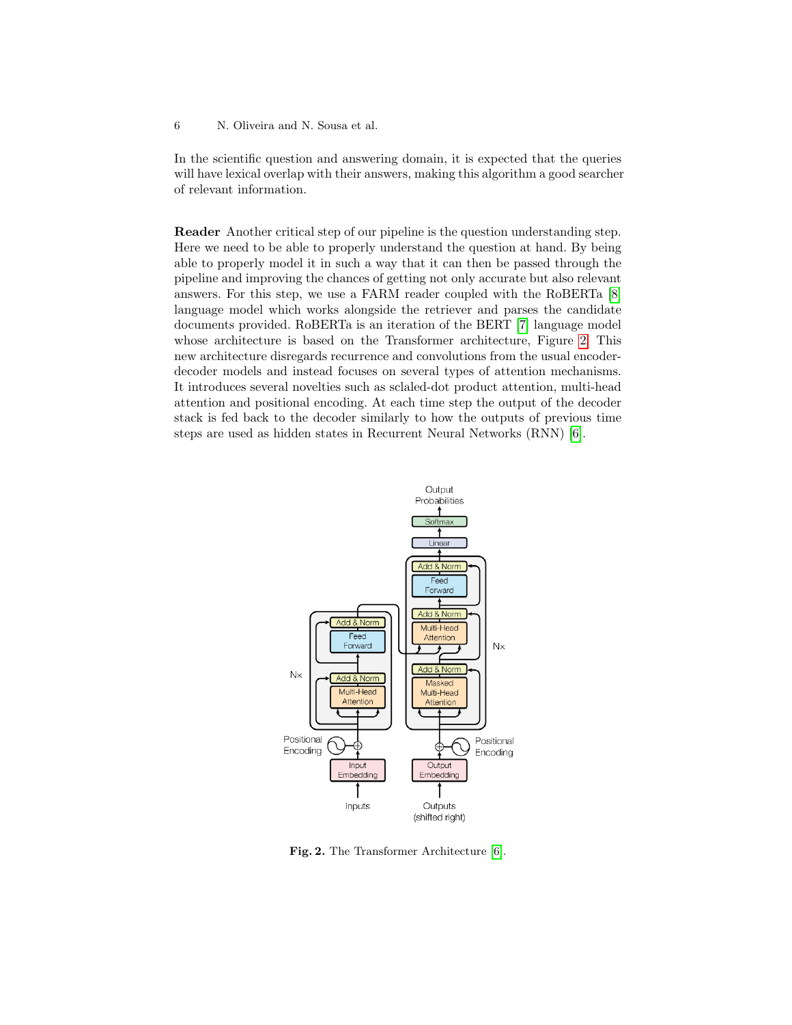In the scientific question and answering domain, it is expected that the queries will have lexical overlap with their answers, making this algorithm a good searcher of relevant information.

Reader Another critical step of our pipeline is the question understanding step. Here we need to be able to properly understand the question at hand. By being able to properly model it in such a way that it can then be passed through the pipeline and improving the chances of getting not only accurate but also relevant answers. For this step, we use a FARM reader coupled with the RoBERTa [\[8\]](#page-10-0) language model which works alongside the retriever and parses the candidate documents provided. RoBERTa is an iteration of the BERT [\[7\]](#page-9-6) language model whose architecture is based on the Transformer architecture, Figure [2.](#page-5-0) This new architecture disregards recurrence and convolutions from the usual encoderdecoder models and instead focuses on several types of attention mechanisms. It introduces several novelties such as sclaled-dot product attention, multi-head attention and positional encoding. At each time step the output of the decoder stack is fed back to the decoder similarly to how the outputs of previous time steps are used as hidden states in Recurrent Neural Networks (RNN) [\[6\]](#page-9-5).



<span id="page-5-0"></span>Fig. 2. The Transformer Architecture [\[6\]](#page-9-5).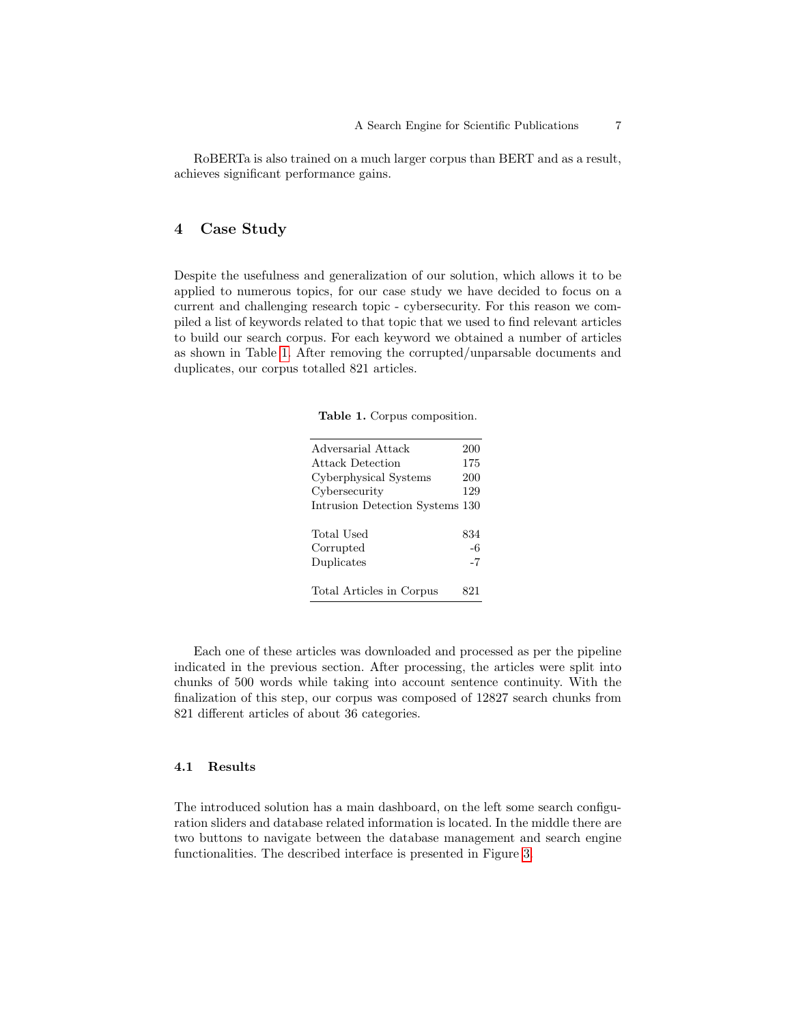RoBERTa is also trained on a much larger corpus than BERT and as a result, achieves significant performance gains.

# <span id="page-6-0"></span>4 Case Study

Despite the usefulness and generalization of our solution, which allows it to be applied to numerous topics, for our case study we have decided to focus on a current and challenging research topic - cybersecurity. For this reason we compiled a list of keywords related to that topic that we used to find relevant articles to build our search corpus. For each keyword we obtained a number of articles as shown in Table [1.](#page-6-1) After removing the corrupted/unparsable documents and duplicates, our corpus totalled 821 articles.

<span id="page-6-1"></span>Table 1. Corpus composition.

| Adversarial Attack              | 200 |
|---------------------------------|-----|
| Attack Detection                | 175 |
| Cyberphysical Systems           | 200 |
| Cybersecurity                   | 129 |
| Intrusion Detection Systems 130 |     |
|                                 |     |
| Total Used                      | 834 |
| Corrupted                       | -6  |
| Duplicates                      | -7  |
|                                 |     |
| Total Articles in Corpus        |     |
|                                 |     |

Each one of these articles was downloaded and processed as per the pipeline indicated in the previous section. After processing, the articles were split into chunks of 500 words while taking into account sentence continuity. With the finalization of this step, our corpus was composed of 12827 search chunks from 821 different articles of about 36 categories.

### 4.1 Results

The introduced solution has a main dashboard, on the left some search configuration sliders and database related information is located. In the middle there are two buttons to navigate between the database management and search engine functionalities. The described interface is presented in Figure [3.](#page-7-0)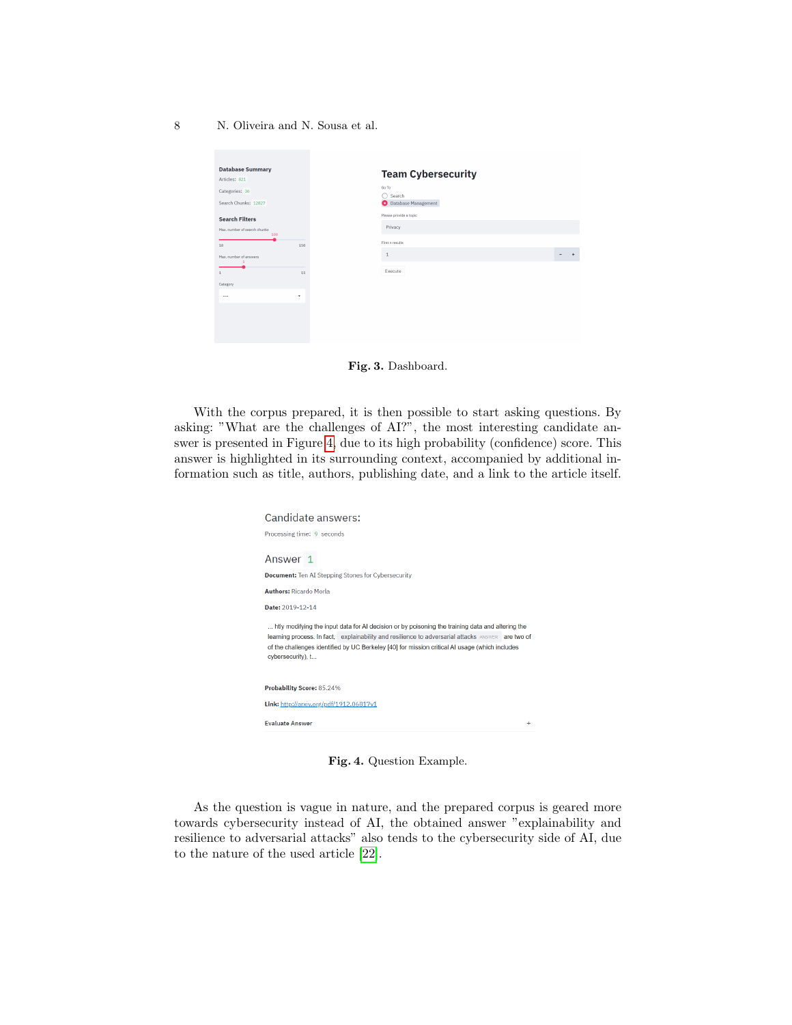8 N. Oliveira and N. Sousa et al.

| Go To<br>Categories: 36<br>∩<br>Search<br>Search Chunks: 12827<br><b>O</b> Database Management<br>Please provide a topic<br>Privacy<br>100<br>First n results<br>158<br>۹<br>Execute<br>15 |
|--------------------------------------------------------------------------------------------------------------------------------------------------------------------------------------------|
| <b>Search Filters</b><br>Max, number of search chunks<br>Max, number of answers                                                                                                            |
|                                                                                                                                                                                            |
|                                                                                                                                                                                            |
| Category                                                                                                                                                                                   |
| ٠                                                                                                                                                                                          |

<span id="page-7-0"></span>Fig. 3. Dashboard.

With the corpus prepared, it is then possible to start asking questions. By asking: "What are the challenges of AI?", the most interesting candidate answer is presented in Figure [4,](#page-7-1) due to its high probability (confidence) score. This answer is highlighted in its surrounding context, accompanied by additional information such as title, authors, publishing date, and a link to the article itself.

| Candidate answers:                                                                                                                                                                                                                                                                                                           |
|------------------------------------------------------------------------------------------------------------------------------------------------------------------------------------------------------------------------------------------------------------------------------------------------------------------------------|
| Processing time: 9 seconds                                                                                                                                                                                                                                                                                                   |
| Answer 1<br><b>Document:</b> Ten AI Stepping Stones for Cybersecurity                                                                                                                                                                                                                                                        |
| <b>Authors: Ricardo Morla</b>                                                                                                                                                                                                                                                                                                |
| Date: 2019-12-14                                                                                                                                                                                                                                                                                                             |
| htly modifying the input data for AI decision or by poisoning the training data and altering the<br>learning process. In fact, explainability and resilience to adversarial attacks ANSWER are two of<br>of the challenges identified by UC Berkeley [40] for mission critical AI usage (which includes<br>cybersecurity), t |
| Probability Score: 85.24%                                                                                                                                                                                                                                                                                                    |
| Link: http://arxiv.org/pdf/1912.06817v1                                                                                                                                                                                                                                                                                      |
| <b>Evaluate Answer</b><br>$\ddot{}$                                                                                                                                                                                                                                                                                          |

<span id="page-7-1"></span>Fig. 4. Question Example.

As the question is vague in nature, and the prepared corpus is geared more towards cybersecurity instead of AI, the obtained answer "explainability and resilience to adversarial attacks" also tends to the cybersecurity side of AI, due to the nature of the used article [\[22\]](#page-10-14).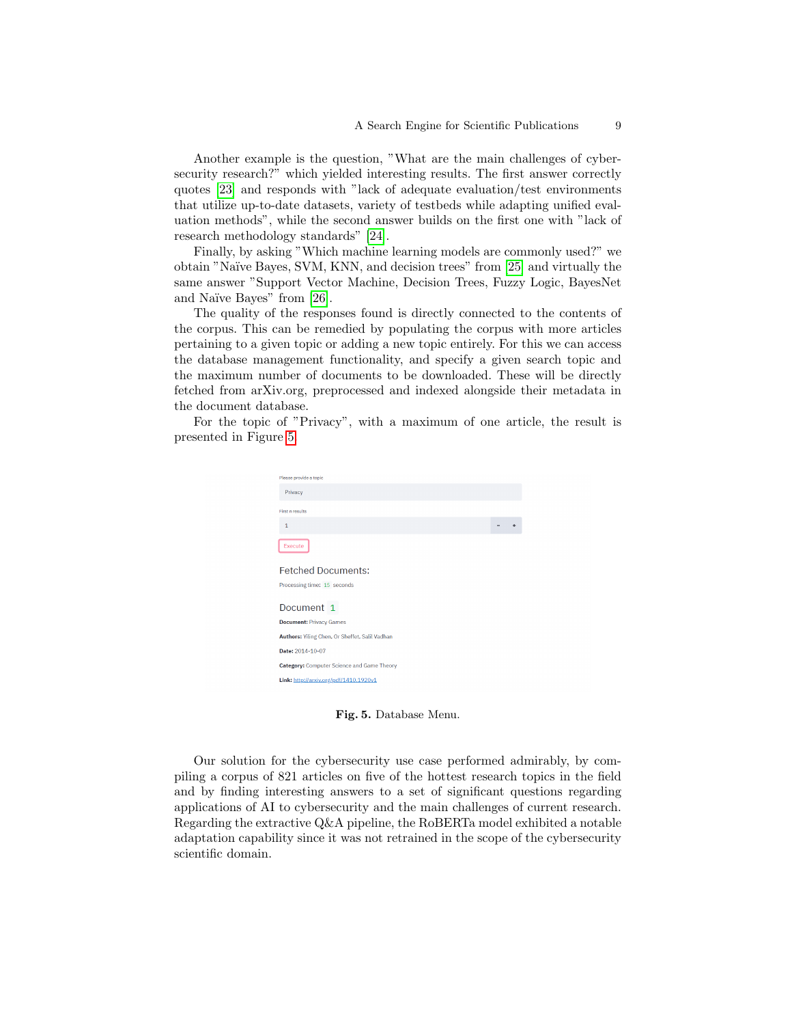Another example is the question, "What are the main challenges of cybersecurity research?" which yielded interesting results. The first answer correctly quotes [\[23\]](#page-10-15) and responds with "lack of adequate evaluation/test environments that utilize up-to-date datasets, variety of testbeds while adapting unified evaluation methods", while the second answer builds on the first one with "lack of research methodology standards" [\[24\]](#page-10-16).

Finally, by asking "Which machine learning models are commonly used?" we obtain "Na¨ıve Bayes, SVM, KNN, and decision trees" from [\[25\]](#page-10-17) and virtually the same answer "Support Vector Machine, Decision Trees, Fuzzy Logic, BayesNet and Naïve Bayes" from [\[26\]](#page-10-18).

The quality of the responses found is directly connected to the contents of the corpus. This can be remedied by populating the corpus with more articles pertaining to a given topic or adding a new topic entirely. For this we can access the database management functionality, and specify a given search topic and the maximum number of documents to be downloaded. These will be directly fetched from arXiv.org, preprocessed and indexed alongside their metadata in the document database.

For the topic of "Privacy", with a maximum of one article, the result is presented in Figure [5.](#page-8-0)



Fig. 5. Database Menu.

<span id="page-8-0"></span>Our solution for the cybersecurity use case performed admirably, by compiling a corpus of 821 articles on five of the hottest research topics in the field and by finding interesting answers to a set of significant questions regarding applications of AI to cybersecurity and the main challenges of current research. Regarding the extractive Q&A pipeline, the RoBERTa model exhibited a notable adaptation capability since it was not retrained in the scope of the cybersecurity scientific domain.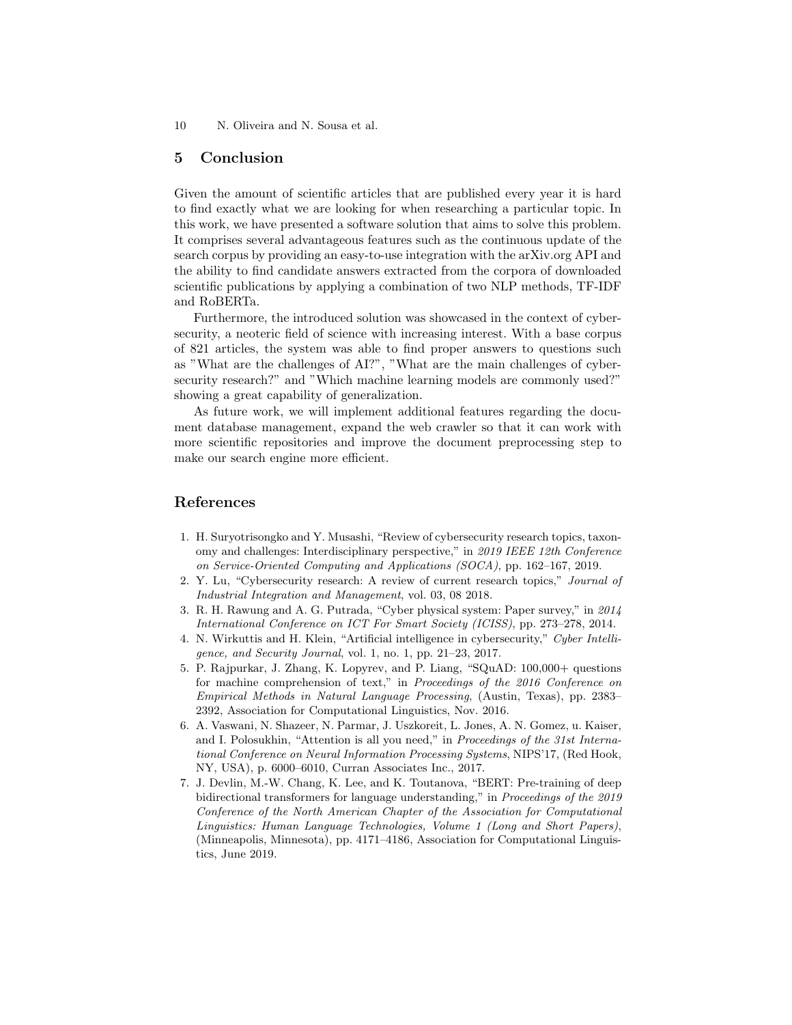10 N. Oliveira and N. Sousa et al.

## <span id="page-9-7"></span>5 Conclusion

Given the amount of scientific articles that are published every year it is hard to find exactly what we are looking for when researching a particular topic. In this work, we have presented a software solution that aims to solve this problem. It comprises several advantageous features such as the continuous update of the search corpus by providing an easy-to-use integration with the arXiv.org API and the ability to find candidate answers extracted from the corpora of downloaded scientific publications by applying a combination of two NLP methods, TF-IDF and RoBERTa.

Furthermore, the introduced solution was showcased in the context of cybersecurity, a neoteric field of science with increasing interest. With a base corpus of 821 articles, the system was able to find proper answers to questions such as "What are the challenges of AI?", "What are the main challenges of cybersecurity research?" and "Which machine learning models are commonly used?" showing a great capability of generalization.

As future work, we will implement additional features regarding the document database management, expand the web crawler so that it can work with more scientific repositories and improve the document preprocessing step to make our search engine more efficient.

## References

- <span id="page-9-0"></span>1. H. Suryotrisongko and Y. Musashi, "Review of cybersecurity research topics, taxonomy and challenges: Interdisciplinary perspective," in 2019 IEEE 12th Conference on Service-Oriented Computing and Applications (SOCA), pp. 162–167, 2019.
- <span id="page-9-1"></span>2. Y. Lu, "Cybersecurity research: A review of current research topics," Journal of Industrial Integration and Management, vol. 03, 08 2018.
- <span id="page-9-2"></span>3. R. H. Rawung and A. G. Putrada, "Cyber physical system: Paper survey," in 2014 International Conference on ICT For Smart Society (ICISS), pp. 273–278, 2014.
- <span id="page-9-3"></span>4. N. Wirkuttis and H. Klein, "Artificial intelligence in cybersecurity," Cyber Intelligence, and Security Journal, vol. 1, no. 1, pp. 21–23, 2017.
- <span id="page-9-4"></span>5. P. Rajpurkar, J. Zhang, K. Lopyrev, and P. Liang, "SQuAD: 100,000+ questions for machine comprehension of text," in Proceedings of the 2016 Conference on Empirical Methods in Natural Language Processing, (Austin, Texas), pp. 2383– 2392, Association for Computational Linguistics, Nov. 2016.
- <span id="page-9-5"></span>6. A. Vaswani, N. Shazeer, N. Parmar, J. Uszkoreit, L. Jones, A. N. Gomez, u. Kaiser, and I. Polosukhin, "Attention is all you need," in Proceedings of the 31st International Conference on Neural Information Processing Systems, NIPS'17, (Red Hook, NY, USA), p. 6000–6010, Curran Associates Inc., 2017.
- <span id="page-9-6"></span>7. J. Devlin, M.-W. Chang, K. Lee, and K. Toutanova, "BERT: Pre-training of deep bidirectional transformers for language understanding," in Proceedings of the 2019 Conference of the North American Chapter of the Association for Computational Linguistics: Human Language Technologies, Volume 1 (Long and Short Papers), (Minneapolis, Minnesota), pp. 4171–4186, Association for Computational Linguistics, June 2019.